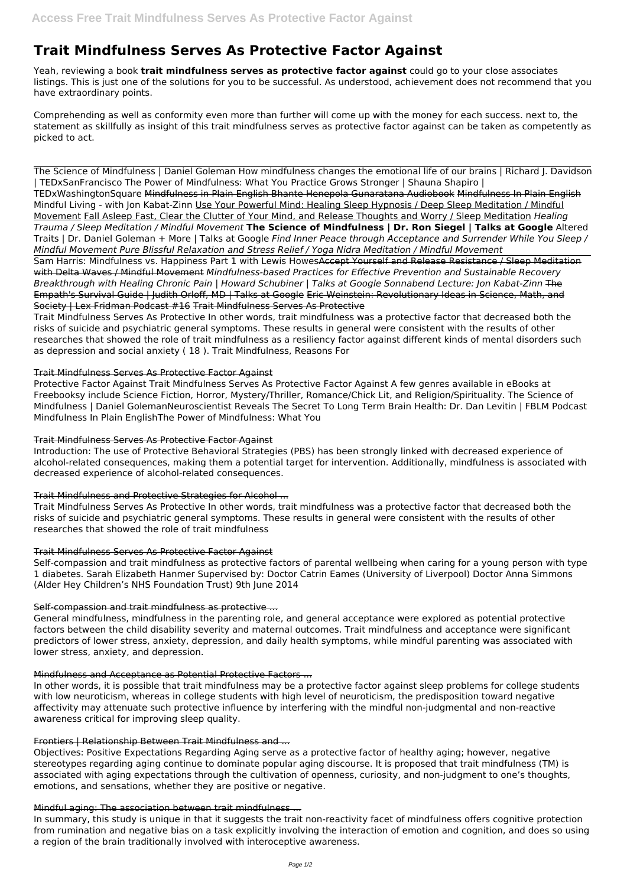# **Trait Mindfulness Serves As Protective Factor Against**

Yeah, reviewing a book **trait mindfulness serves as protective factor against** could go to your close associates listings. This is just one of the solutions for you to be successful. As understood, achievement does not recommend that you have extraordinary points.

Comprehending as well as conformity even more than further will come up with the money for each success. next to, the statement as skillfully as insight of this trait mindfulness serves as protective factor against can be taken as competently as picked to act.

The Science of Mindfulness | Daniel Goleman How mindfulness changes the emotional life of our brains | Richard J. Davidson | TEDxSanFrancisco The Power of Mindfulness: What You Practice Grows Stronger | Shauna Shapiro | TEDxWashingtonSquare Mindfulness in Plain English Bhante Henepola Gunaratana Audiobook Mindfulness In Plain English Mindful Living - with Jon Kabat-Zinn Use Your Powerful Mind: Healing Sleep Hypnosis / Deep Sleep Meditation / Mindful Movement Fall Asleep Fast, Clear the Clutter of Your Mind, and Release Thoughts and Worry / Sleep Meditation *Healing Trauma / Sleep Meditation / Mindful Movement* **The Science of Mindfulness | Dr. Ron Siegel | Talks at Google** Altered Traits | Dr. Daniel Goleman + More | Talks at Google *Find Inner Peace through Acceptance and Surrender While You Sleep / Mindful Movement Pure Blissful Relaxation and Stress Relief / Yoga Nidra Meditation / Mindful Movement*

Sam Harris: Mindfulness vs. Happiness Part 1 with Lewis HowesAccept Yourself and Release Resistance / Sleep Meditation with Delta Waves / Mindful Movement *Mindfulness-based Practices for Effective Prevention and Sustainable Recovery Breakthrough with Healing Chronic Pain | Howard Schubiner | Talks at Google Sonnabend Lecture: Jon Kabat-Zinn* The Empath's Survival Guide | Judith Orloff, MD | Talks at Google Eric Weinstein: Revolutionary Ideas in Science, Math, and Society | Lex Fridman Podcast #16 Trait Mindfulness Serves As Protective

Trait Mindfulness Serves As Protective In other words, trait mindfulness was a protective factor that decreased both the risks of suicide and psychiatric general symptoms. These results in general were consistent with the results of other researches that showed the role of trait mindfulness as a resiliency factor against different kinds of mental disorders such as depression and social anxiety ( 18 ). Trait Mindfulness, Reasons For

### Trait Mindfulness Serves As Protective Factor Against

Protective Factor Against Trait Mindfulness Serves As Protective Factor Against A few genres available in eBooks at Freebooksy include Science Fiction, Horror, Mystery/Thriller, Romance/Chick Lit, and Religion/Spirituality. The Science of Mindfulness | Daniel GolemanNeuroscientist Reveals The Secret To Long Term Brain Health: Dr. Dan Levitin | FBLM Podcast Mindfulness In Plain EnglishThe Power of Mindfulness: What You

# Trait Mindfulness Serves As Protective Factor Against

Introduction: The use of Protective Behavioral Strategies (PBS) has been strongly linked with decreased experience of alcohol-related consequences, making them a potential target for intervention. Additionally, mindfulness is associated with decreased experience of alcohol-related consequences.

# Trait Mindfulness and Protective Strategies for Alcohol ...

Trait Mindfulness Serves As Protective In other words, trait mindfulness was a protective factor that decreased both the risks of suicide and psychiatric general symptoms. These results in general were consistent with the results of other researches that showed the role of trait mindfulness

# Trait Mindfulness Serves As Protective Factor Against

Self-compassion and trait mindfulness as protective factors of parental wellbeing when caring for a young person with type 1 diabetes. Sarah Elizabeth Hanmer Supervised by: Doctor Catrin Eames (University of Liverpool) Doctor Anna Simmons (Alder Hey Children's NHS Foundation Trust) 9th June 2014

# Self-compassion and trait mindfulness as protective ...

General mindfulness, mindfulness in the parenting role, and general acceptance were explored as potential protective factors between the child disability severity and maternal outcomes. Trait mindfulness and acceptance were significant predictors of lower stress, anxiety, depression, and daily health symptoms, while mindful parenting was associated with lower stress, anxiety, and depression.

#### Mindfulness and Acceptance as Potential Protective Factors ...

In other words, it is possible that trait mindfulness may be a protective factor against sleep problems for college students with low neuroticism, whereas in college students with high level of neuroticism, the predisposition toward negative affectivity may attenuate such protective influence by interfering with the mindful non-judgmental and non-reactive awareness critical for improving sleep quality.

#### Frontiers | Relationship Between Trait Mindfulness and ...

Objectives: Positive Expectations Regarding Aging serve as a protective factor of healthy aging; however, negative stereotypes regarding aging continue to dominate popular aging discourse. It is proposed that trait mindfulness (TM) is associated with aging expectations through the cultivation of openness, curiosity, and non-judgment to one's thoughts, emotions, and sensations, whether they are positive or negative.

#### Mindful aging: The association between trait mindfulness ...

In summary, this study is unique in that it suggests the trait non-reactivity facet of mindfulness offers cognitive protection from rumination and negative bias on a task explicitly involving the interaction of emotion and cognition, and does so using a region of the brain traditionally involved with interoceptive awareness.